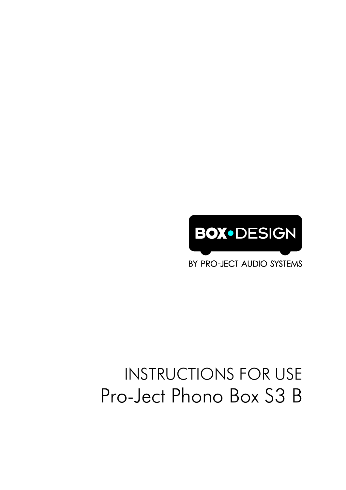# INSTRUCTIONS FOR USE Pro-Ject Phono Box S3 B

BY PRO-JECT AUDIO SYSTEMS

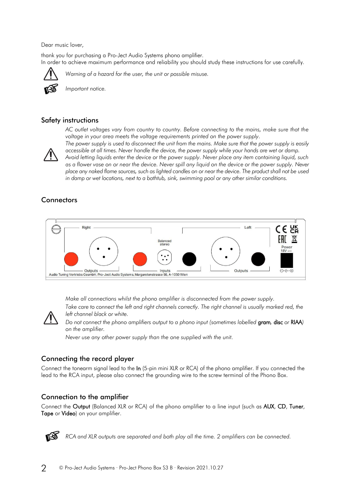Dear music lover,

thank you for purchasing a Pro-Ject Audio Systems phono amplifier. In order to achieve maximum performance and reliability you should study these instructions for use carefully.



*Warning of a hazard for the user, the unit or possible misuse.*

*Important notice.*

## Safety instructions



*AC outlet voltages vary from country to country. Before connecting to the mains, make sure that the voltage in your area meets the voltage requirements printed on the power supply. The power supply is used to disconnect the unit from the mains. Make sure that the power supply is easily* 

*accessible at all times. Never handle the device, the power supply while your hands are wet or damp. Avoid letting liquids enter the device or the power supply. Never place any item containing liquid, such as a flower vase on or near the device. Never spill any liquid on the device or the power supply. Never place any naked flame sources, such as lighted candles on or near the device. The product shall not be used* 

*in damp or wet locations, next to a bathtub, sink, swimming pool or any other similar conditions.*

# **Connectors**



*Make all connections whilst the phono amplifier is disconnected from the power supply.*

Take care to connect the left and right channels correctly. The right channel is usually marked red, the *left channel black or white.*



*Do not connect the phono amplifiers output to a phono input (sometimes labelled* gram*,* disc *or* RIAA*) on the amplifier.*

*Never use any other power supply than the one supplied with the unit.*

# Connecting the record player

Connect the tonearm signal lead to the In (5-pin mini XLR or RCA) of the phono amplifier. If you connected the lead to the RCA input, please also connect the grounding wire to the screw terminal of the Phono Box.

# Connection to the amplifier

Connect the Output (Balanced XLR or RCA) of the phono amplifier to a line input (such as AUX, CD, Tuner, Tape or Video) on your amplifier.



*RCA and XLR outputs are separated and both play all the time. 2 amplifiers can be connected.*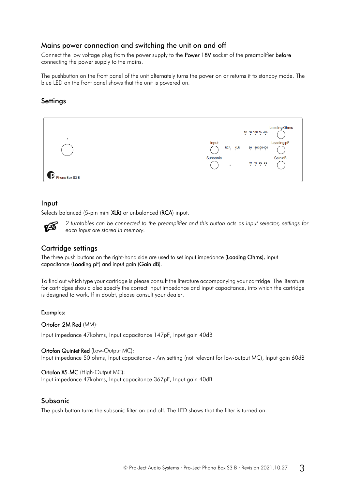## Mains power connection and switching the unit on and off

Connect the low voltage plug from the power supply to the Power 18V socket of the preamplifier before connecting the power supply to the mains.

The pushbutton on the front panel of the unit alternately turns the power on or returns it to standby mode. The blue LED on the front panel shows that the unit is powered on.

## **Settings**



#### Input

Selects balanced (5-pin mini XLR) or unbalanced (RCA) input.



*2 turntables can be connected to the preamplifier and this button acts as input selector, settings for each input are stored in memory.*

## Cartridge settings

The three push buttons on the right-hand side are used to set input impedance (Loading Ohms), input capacitance (Loading pF) and input gain (Gain dB).

To find out which type your cartridge is please consult the literature accompanying your cartridge. The literature for cartridges should also specify the correct input impedance and input capacitance, into which the cartridge is designed to work. If in doubt, please consult your dealer.

#### Examples:

Ortofon 2M Red (MM):

Input impedance 47kohms, Input capacitance 147pF, Input gain 40dB

Ortofon Quintet Red (Low-Output MC): Input impedance 50 ohms, Input capacitance - Any setting (not relevant for low-output MC), Input gain 60dB

#### Ortofon X5-MC (High-Output MC):

Input impedance 47kohms, Input capacitance 367pF, Input gain 40dB

#### Subsonic

The push button turns the subsonic filter on and off. The LED shows that the filter is turned on.